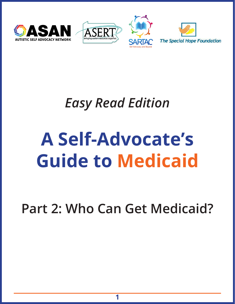







# *Easy Read Edition*

# **A Self-Advocate's Guide to Medicaid**

**Part 2: Who Can Get Medicaid?**

**1**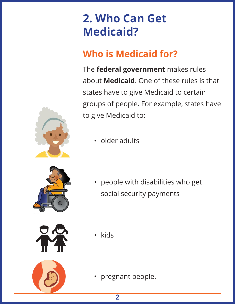# **2. Who Can Get Medicaid?**

#### **Who is Medicaid for?**

The **federal government** makes rules about **Medicaid**. One of these rules is that states have to give Medicaid to certain groups of people. For example, states have to give Medicaid to:



• older adults



• people with disabilities who get social security payments



- 
- kids

• pregnant people.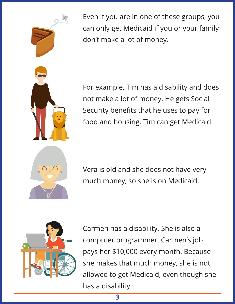

Even if you are in one of these groups, you can only get Medicaid if you or your family don't make a lot of money.

For example, Tim has a disability and does not make a lot of money. He gets Social Security benefits that he uses to pay for food and housing. Tim can get Medicaid.



Vera is old and she does not have very much money, so she is on Medicaid.



Carmen has a disability. She is also a computer programmer. Carmen's job pays her \$10,000 every month. Because she makes that much money, she is not allowed to get Medicaid, even though she has a disability.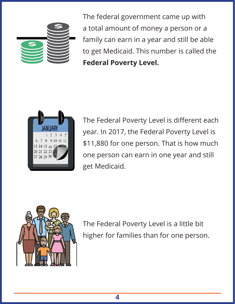

The federal government came up with a total amount of money a person or a family can earn in a year and still be able to get Medicaid. This number is called the **Federal Poverty Level.**



The Federal Poverty Level is different each year. In 2017, the Federal Poverty Level is \$11,880 for one person. That is how much one person can earn in one year and still get Medicaid.



The Federal Poverty Level is a little bit higher for families than for one person.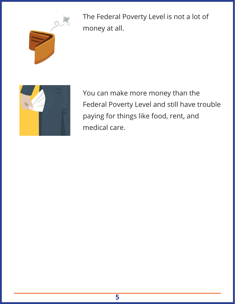

The Federal Poverty Level is not a lot of money at all.



You can make more money than the Federal Poverty Level and still have trouble paying for things like food, rent, and medical care.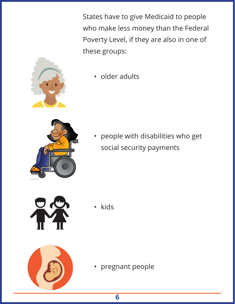States have to give Medicaid to people who make less money than the Federal Poverty Level, if they are also in one of these groups:



• older adults



• people with disabilities who get social security payments



• kids



• pregnant people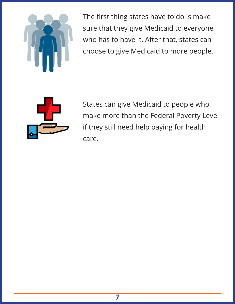

The first thing states have to do is make sure that they give Medicaid to everyone who has to have it. After that, states can choose to give Medicaid to more people.



States can give Medicaid to people who make more than the Federal Poverty Level if they still need help paying for health care.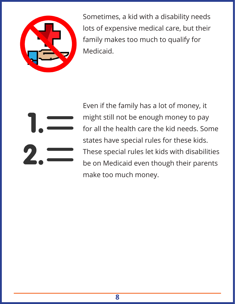

Sometimes, a kid with a disability needs lots of expensive medical care, but their family makes too much to qualify for Medicaid.

Even if the family has a lot of money, it might still not be enough money to pay for all the health care the kid needs. Some states have special rules for these kids. These special rules let kids with disabilities be on Medicaid even though their parents make too much money.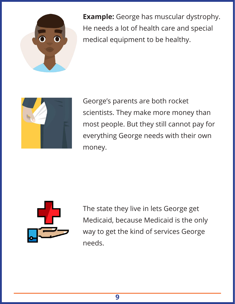

**Example:** George has muscular dystrophy. He needs a lot of health care and special medical equipment to be healthy.



George's parents are both rocket scientists. They make more money than most people. But they still cannot pay for everything George needs with their own money.



The state they live in lets George get Medicaid, because Medicaid is the only way to get the kind of services George needs.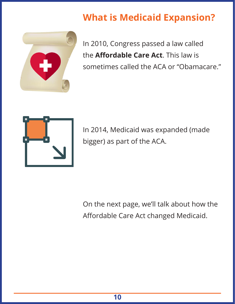#### **What is Medicaid Expansion?**



In 2010, Congress passed a law called the **Affordable Care Act**. This law is sometimes called the ACA or "Obamacare."



In 2014, Medicaid was expanded (made bigger) as part of the ACA.

On the next page, we'll talk about how the Affordable Care Act changed Medicaid.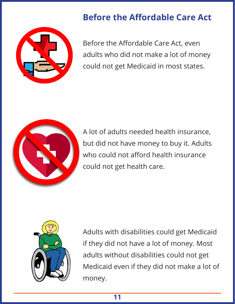#### **Before the Affordable Care Act**



Before the Affordable Care Act, even adults who did not make a lot of money could not get Medicaid in most states.



A lot of adults needed health insurance, but did not have money to buy it. Adults who could not afford health insurance could not get health care.



Adults with disabilities could get Medicaid if they did not have a lot of money. Most adults without disabilities could not get Medicaid even if they did not make a lot of money.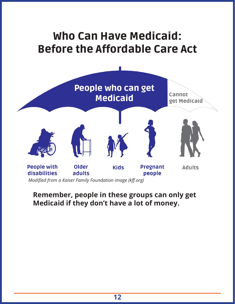## Who Can Have Medicaid: Before the Affordable Care Act



#### **Remember, people in these groups can only get Medicaid if they don't have a lot of money.**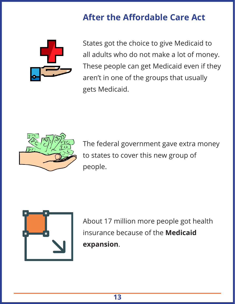#### **After the Affordable Care Act**



States got the choice to give Medicaid to all adults who do not make a lot of money. These people can get Medicaid even if they aren't in one of the groups that usually gets Medicaid.



The federal government gave extra money to states to cover this new group of people.



About 17 million more people got health insurance because of the **Medicaid expansion**.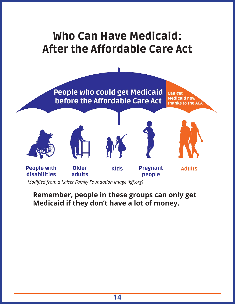#### Who Can Have Medicaid: After the Affordable Care Act



*Modified from a Kaiser Family Foundation image (kff.org)*

#### **Remember, people in these groups can only get Medicaid if they don't have a lot of money.**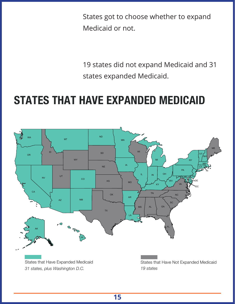States got to choose whether to expand Medicaid or not.

19 states did not expand Medicaid and 31 states expanded Medicaid.

## **STATES THAT HAVE EXPANDED MEDICAID**

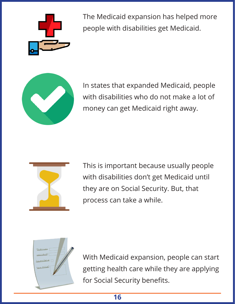

The Medicaid expansion has helped more people with disabilities get Medicaid.



In states that expanded Medicaid, people with disabilities who do not make a lot of money can get Medicaid right away.



This is important because usually people with disabilities don't get Medicaid until they are on Social Security. But, that process can take a while.



With Medicaid expansion, people can start getting health care while they are applying for Social Security benefits.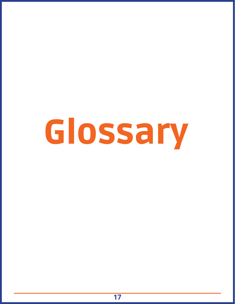# Glossary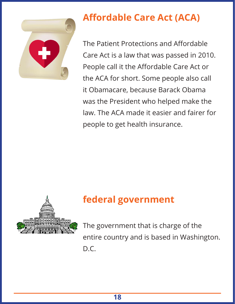

#### **Affordable Care Act (ACA)**

The Patient Protections and Affordable Care Act is a law that was passed in 2010. People call it the Affordable Care Act or the ACA for short. Some people also call it Obamacare, because Barack Obama was the President who helped make the law. The ACA made it easier and fairer for people to get health insurance.



#### **federal government**

The government that is charge of the entire country and is based in Washington. D.C.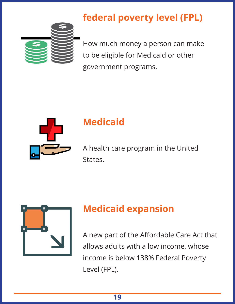#### **federal poverty level (FPL)**



How much money a person can make to be eligible for Medicaid or other government programs.



#### **Medicaid**

A health care program in the United States.



#### **Medicaid expansion**

A new part of the Affordable Care Act that allows adults with a low income, whose income is below 138% Federal Poverty Level (FPL).